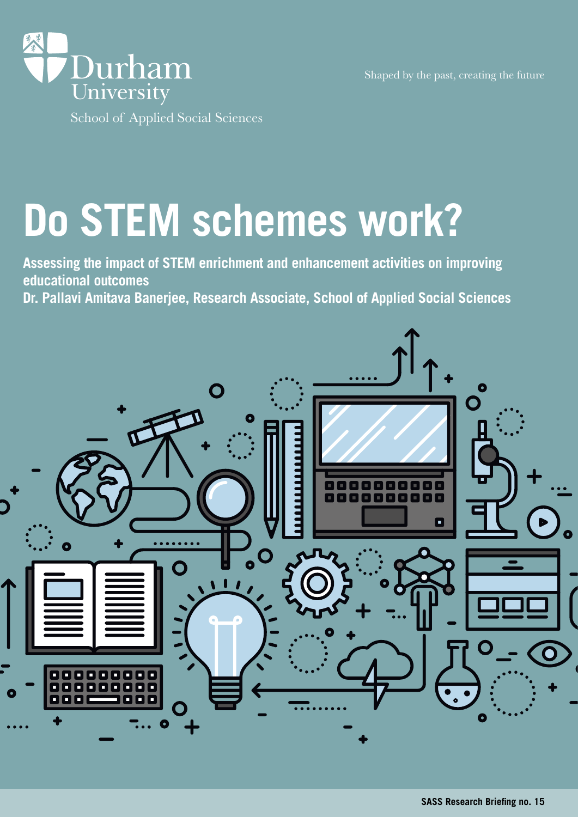



# **Do STEM schemes work?**

**Assessing the impact of STEM enrichment and enhancement activities on improving educational outcomes** 

**Dr. Pallavi Amitava Banerjee, Research Associate, School of Applied Social Sciences**

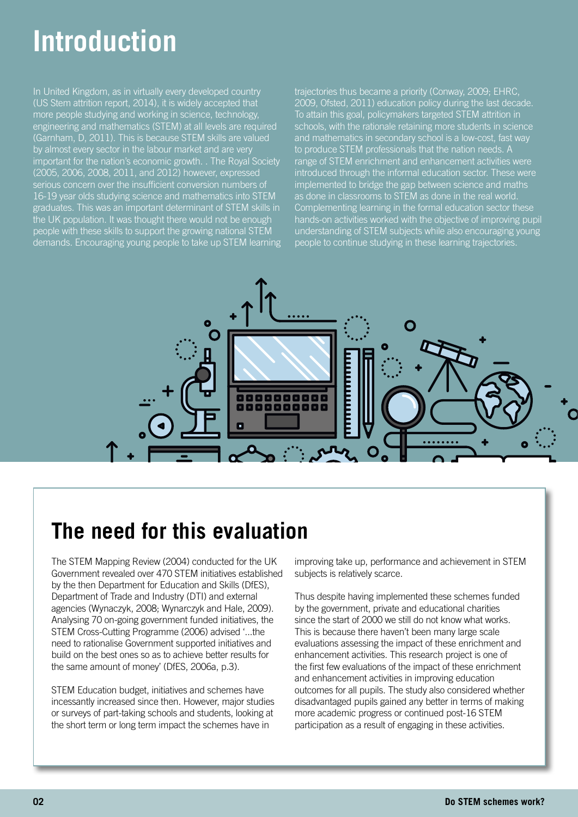## **Introduction**

In United Kingdom, as in virtually every developed country (US Stem attrition report, 2014), it is widely accepted that more people studying and working in science, technology, engineering and mathematics (STEM) at all levels are required (Garnham, D, 2011). This is because STEM skills are valued by almost every sector in the labour market and are very important for the nation's economic growth. . The Royal Society (2005, 2006, 2008, 2011, and 2012) however, expressed serious concern over the insufficient conversion numbers of 16-19 year olds studying science and mathematics into STEM graduates. This was an important determinant of STEM skills in the UK population. It was thought there would not be enough people with these skills to support the growing national STEM demands. Encouraging young people to take up STEM learning trajectories thus became a priority (Conway, 2009; EHRC, 2009, Ofsted, 2011) education policy during the last decade. To attain this goal, policymakers targeted STEM attrition in schools, with the rationale retaining more students in science and mathematics in secondary school is a low-cost, fast way to produce STEM professionals that the nation needs. A range of STEM enrichment and enhancement activities were introduced through the informal education sector. These were implemented to bridge the gap between science and maths as done in classrooms to STEM as done in the real world. Complementing learning in the formal education sector these hands-on activities worked with the objective of improving pupil understanding of STEM subjects while also encouraging young people to continue studying in these learning trajectories.



### **The need for this evaluation**

The STEM Mapping Review (2004) conducted for the UK Government revealed over 470 STEM initiatives established by the then Department for Education and Skills (DfES), Department of Trade and Industry (DTI) and external agencies (Wynaczyk, 2008; Wynarczyk and Hale, 2009). Analysing 70 on-going government funded initiatives, the STEM Cross-Cutting Programme (2006) advised '...the need to rationalise Government supported initiatives and build on the best ones so as to achieve better results for the same amount of money' (DfES, 2006a, p.3).

STEM Education budget, initiatives and schemes have incessantly increased since then. However, major studies or surveys of part-taking schools and students, looking at the short term or long term impact the schemes have in

improving take up, performance and achievement in STEM subjects is relatively scarce.

Thus despite having implemented these schemes funded by the government, private and educational charities since the start of 2000 we still do not know what works. This is because there haven't been many large scale evaluations assessing the impact of these enrichment and enhancement activities. This research project is one of the first few evaluations of the impact of these enrichment and enhancement activities in improving education outcomes for all pupils. The study also considered whether disadvantaged pupils gained any better in terms of making more academic progress or continued post-16 STEM participation as a result of engaging in these activities.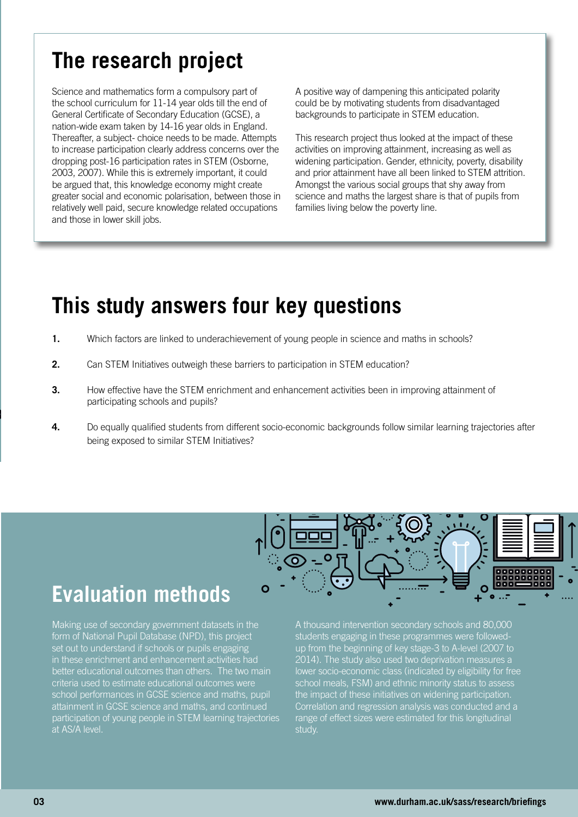### **The research project**

Science and mathematics form a compulsory part of the school curriculum for 11-14 year olds till the end of General Certificate of Secondary Education (GCSE), a nation-wide exam taken by 14-16 year olds in England. Thereafter, a subject- choice needs to be made. Attempts to increase participation clearly address concerns over the dropping post-16 participation rates in STEM (Osborne, 2003, 2007). While this is extremely important, it could be argued that, this knowledge economy might create greater social and economic polarisation, between those in relatively well paid, secure knowledge related occupations and those in lower skill jobs.

A positive way of dampening this anticipated polarity could be by motivating students from disadvantaged backgrounds to participate in STEM education.

This research project thus looked at the impact of these activities on improving attainment, increasing as well as widening participation. Gender, ethnicity, poverty, disability and prior attainment have all been linked to STEM attrition. Amongst the various social groups that shy away from science and maths the largest share is that of pupils from families living below the poverty line.

### **This study answers four key questions**

- **1.** Which factors are linked to underachievement of young people in science and maths in schools?
- **2.** Can STEM Initiatives outweigh these barriers to participation in STEM education?
- **3.** How effective have the STEM enrichment and enhancement activities been in improving attainment of participating schools and pupils?
- **4.** Do equally qualified students from different socio-economic backgrounds follow similar learning trajectories after being exposed to similar STEM Initiatives?

### **Evaluation methods**

Making use of secondary government datasets in the form of National Pupil Database (NPD), this project set out to understand if schools or pupils engaging in these enrichment and enhancement activities had better educational outcomes than others. The two main criteria used to estimate educational outcomes were school performances in GCSE science and maths, pupil attainment in GCSE science and maths, and continued participation of young people in STEM learning trajectories at AS/A level.



A thousand intervention secondary schools and 80,000 students engaging in these programmes were followedup from the beginning of key stage-3 to A-level (2007 to 2014). The study also used two deprivation measures a lower socio-economic class (indicated by eligibility for free school meals, FSM) and ethnic minority status to assess the impact of these initiatives on widening participation. Correlation and regression analysis was conducted and a range of effect sizes were estimated for this longitudinal study.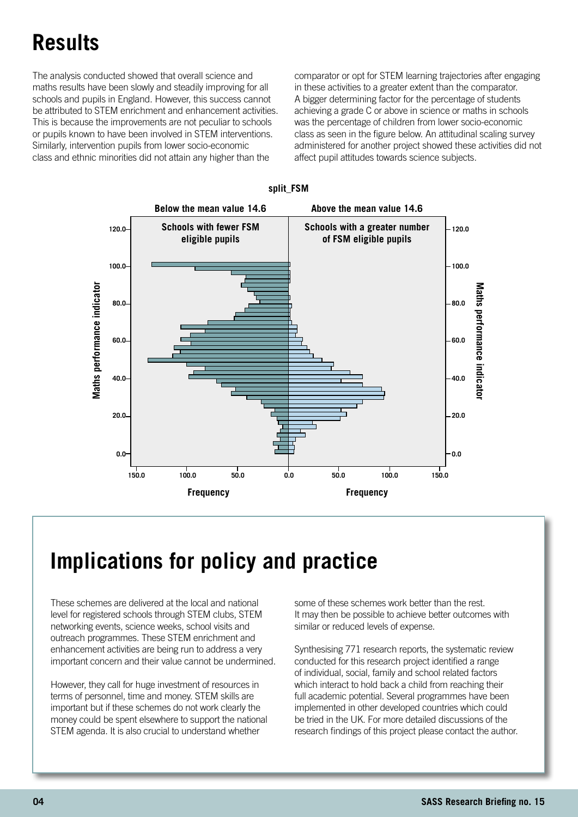### **Results**

**The research project** The analysis conducted showed that overall science and maths results have been slowly and steadily improving for all schools and pupils in England. However, this success cannot be attributed to STEM enrichment and enhancement activities. This is because the improvements are not peculiar to schools or pupils known to have been involved in STEM interventions. Similarly, intervention pupils from lower socio-economic class and ethnic minorities did not attain any higher than the

comparator or opt for STEM learning trajectories after engaging in these activities to a greater extent than the comparator. A bigger determining factor for the percentage of students achieving a grade C or above in science or maths in schools was the percentage of children from lower socio-economic class as seen in the figure below. An attitudinal scaling survey administered for another project showed these activities did not affect pupil attitudes towards science subjects.



#### **split\_FSM**

### **Implications for policy and practice**

These schemes are delivered at the local and national level for registered schools through STEM clubs, STEM networking events, science weeks, school visits and outreach programmes. These STEM enrichment and enhancement activities are being run to address a very important concern and their value cannot be undermined.

However, they call for huge investment of resources in terms of personnel, time and money. STEM skills are important but if these schemes do not work clearly the money could be spent elsewhere to support the national STEM agenda. It is also crucial to understand whether

some of these schemes work better than the rest. It may then be possible to achieve better outcomes with similar or reduced levels of expense.

Synthesising 771 research reports, the systematic review conducted for this research project identified a range of individual, social, family and school related factors which interact to hold back a child from reaching their full academic potential. Several programmes have been implemented in other developed countries which could be tried in the UK. For more detailed discussions of the research findings of this project please contact the author.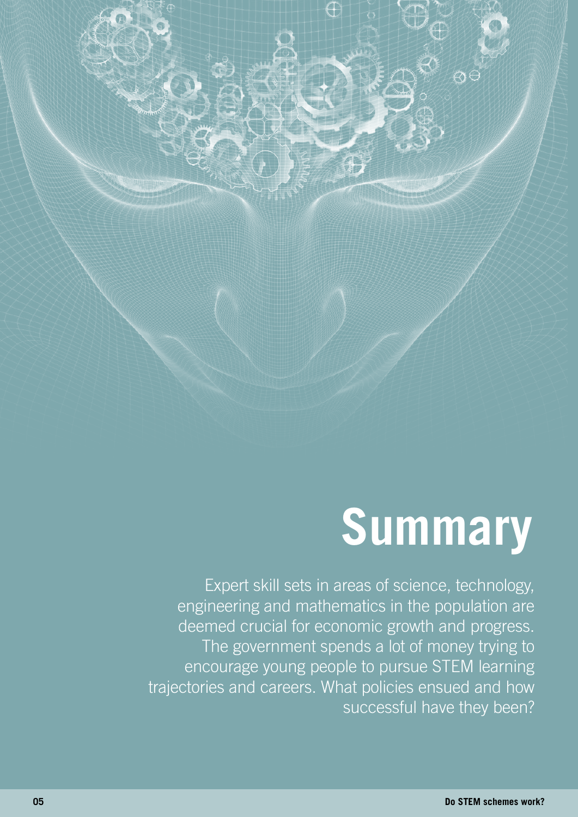## **Summary**

Expert skill sets in areas of science, technology, engineering and mathematics in the population are deemed crucial for economic growth and progress. The government spends a lot of money trying to encourage young people to pursue STEM learning trajectories and careers. What policies ensued and how successful have they been?